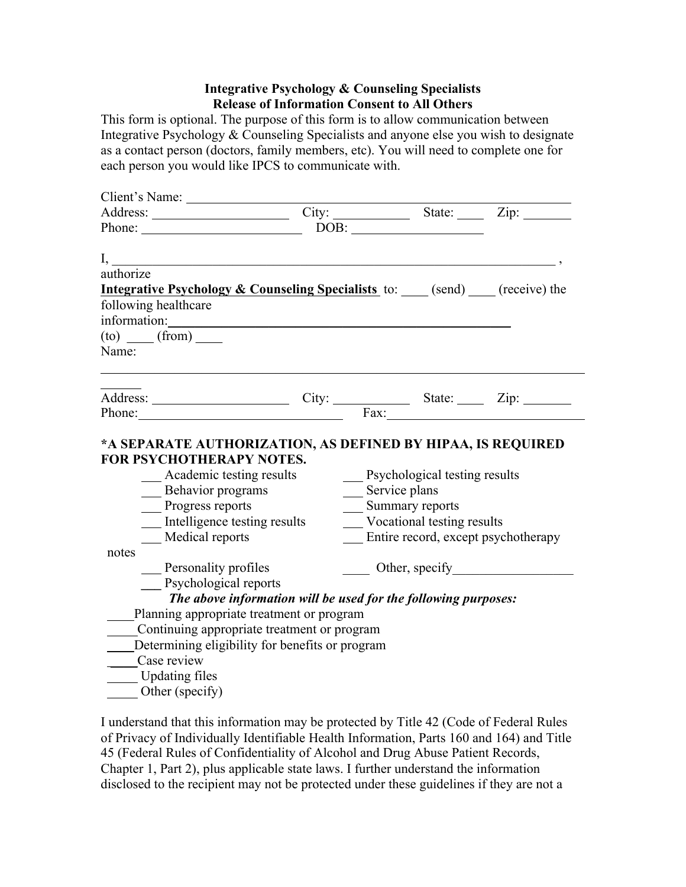## **Integrative Psychology & Counseling Specialists Release of Information Consent to All Others**

This form is optional. The purpose of this form is to allow communication between Integrative Psychology & Counseling Specialists and anyone else you wish to designate as a contact person (doctors, family members, etc). You will need to complete one for each person you would like IPCS to communicate with.

| Address: City: City: State: Zip:                                                                                                                                                                                                                                                                                                                                                                                                  |                                                                |                                                                      |                                                   |                                                         |  |  |
|-----------------------------------------------------------------------------------------------------------------------------------------------------------------------------------------------------------------------------------------------------------------------------------------------------------------------------------------------------------------------------------------------------------------------------------|----------------------------------------------------------------|----------------------------------------------------------------------|---------------------------------------------------|---------------------------------------------------------|--|--|
|                                                                                                                                                                                                                                                                                                                                                                                                                                   |                                                                |                                                                      | $\boxed{\text{DOB:}\; \underline{\hspace{2.5cm}}$ |                                                         |  |  |
|                                                                                                                                                                                                                                                                                                                                                                                                                                   |                                                                |                                                                      |                                                   |                                                         |  |  |
| authorize                                                                                                                                                                                                                                                                                                                                                                                                                         |                                                                |                                                                      |                                                   |                                                         |  |  |
| <b>Integrative Psychology &amp; Counseling Specialists</b> to: $\qquad$ (send) $\qquad$ (receive) the                                                                                                                                                                                                                                                                                                                             |                                                                |                                                                      |                                                   |                                                         |  |  |
| following healthcare                                                                                                                                                                                                                                                                                                                                                                                                              |                                                                |                                                                      |                                                   |                                                         |  |  |
| information:                                                                                                                                                                                                                                                                                                                                                                                                                      |                                                                |                                                                      |                                                   |                                                         |  |  |
| $(to)$ (from)                                                                                                                                                                                                                                                                                                                                                                                                                     |                                                                |                                                                      |                                                   |                                                         |  |  |
| Name:                                                                                                                                                                                                                                                                                                                                                                                                                             |                                                                |                                                                      |                                                   |                                                         |  |  |
|                                                                                                                                                                                                                                                                                                                                                                                                                                   |                                                                |                                                                      |                                                   |                                                         |  |  |
|                                                                                                                                                                                                                                                                                                                                                                                                                                   |                                                                |                                                                      |                                                   |                                                         |  |  |
|                                                                                                                                                                                                                                                                                                                                                                                                                                   |                                                                |                                                                      |                                                   |                                                         |  |  |
|                                                                                                                                                                                                                                                                                                                                                                                                                                   |                                                                |                                                                      |                                                   |                                                         |  |  |
|                                                                                                                                                                                                                                                                                                                                                                                                                                   | <b>FOR PSYCHOTHERAPY NOTES.</b><br>Academic testing results    |                                                                      | <b>Executive</b> Psychological testing results    |                                                         |  |  |
| <b>Behavior</b> programs                                                                                                                                                                                                                                                                                                                                                                                                          |                                                                | __ Service plans                                                     |                                                   |                                                         |  |  |
| Progress reports                                                                                                                                                                                                                                                                                                                                                                                                                  |                                                                | __ Summary reports                                                   |                                                   |                                                         |  |  |
| _ Intelligence testing results<br>Medical reports                                                                                                                                                                                                                                                                                                                                                                                 |                                                                | __ Vocational testing results<br>Entire record, except psychotherapy |                                                   |                                                         |  |  |
| notes                                                                                                                                                                                                                                                                                                                                                                                                                             |                                                                |                                                                      |                                                   |                                                         |  |  |
| $\frac{1}{\sqrt{1-\frac{1}{\sqrt{1-\frac{1}{\sqrt{1-\frac{1}{\sqrt{1-\frac{1}{\sqrt{1-\frac{1}{\sqrt{1-\frac{1}{\sqrt{1-\frac{1}{\sqrt{1-\frac{1}{\sqrt{1-\frac{1}{\sqrt{1-\frac{1}{\sqrt{1-\frac{1}{\sqrt{1-\frac{1}{\sqrt{1-\frac{1}{\sqrt{1-\frac{1}{\sqrt{1-\frac{1}{\sqrt{1-\frac{1}{\sqrt{1-\frac{1}{\sqrt{1-\frac{1}{\sqrt{1-\frac{1}{\sqrt{1-\frac{1}{\sqrt{1-\frac{1}{\sqrt{1-\frac{1}{\sqrt{1-\frac{1}{\sqrt{1-\frac{1$ |                                                                |                                                                      |                                                   | $\frac{1}{\sqrt{1-\frac{1}{2}}}\text{Other, specify}\_$ |  |  |
| Psychological reports                                                                                                                                                                                                                                                                                                                                                                                                             |                                                                |                                                                      |                                                   |                                                         |  |  |
|                                                                                                                                                                                                                                                                                                                                                                                                                                   | The above information will be used for the following purposes: |                                                                      |                                                   |                                                         |  |  |
|                                                                                                                                                                                                                                                                                                                                                                                                                                   | Planning appropriate treatment or program                      |                                                                      |                                                   |                                                         |  |  |
|                                                                                                                                                                                                                                                                                                                                                                                                                                   | Continuing appropriate treatment or program                    |                                                                      |                                                   |                                                         |  |  |
|                                                                                                                                                                                                                                                                                                                                                                                                                                   | Determining eligibility for benefits or program                |                                                                      |                                                   |                                                         |  |  |
| Case review                                                                                                                                                                                                                                                                                                                                                                                                                       |                                                                |                                                                      |                                                   |                                                         |  |  |
| <b>Updating files</b>                                                                                                                                                                                                                                                                                                                                                                                                             |                                                                |                                                                      |                                                   |                                                         |  |  |
| Other (specify)                                                                                                                                                                                                                                                                                                                                                                                                                   |                                                                |                                                                      |                                                   |                                                         |  |  |

I understand that this information may be protected by Title 42 (Code of Federal Rules of Privacy of Individually Identifiable Health Information, Parts 160 and 164) and Title 45 (Federal Rules of Confidentiality of Alcohol and Drug Abuse Patient Records, Chapter 1, Part 2), plus applicable state laws. I further understand the information disclosed to the recipient may not be protected under these guidelines if they are not a